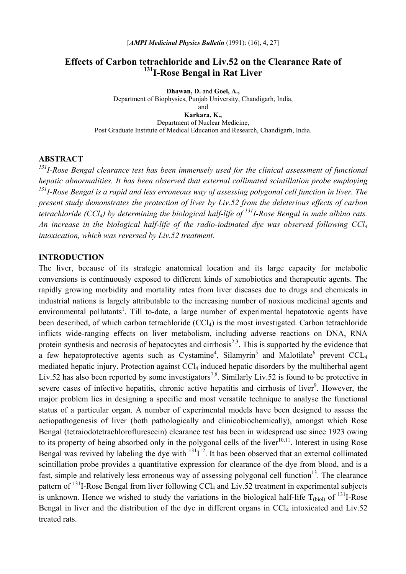# **Effects of Carbon tetrachloride and Liv.52 on the Clearance Rate of 131I-Rose Bengal in Rat Liver**

**Dhawan, D.** and **Goel, A.,** Department of Biophysics, Punjab University, Chandigarh, India, and **Karkara, K.,**  Department of Nuclear Medicine, Post Graduate Institute of Medical Education and Research, Chandigarh, India.

#### **ABSTRACT**

*131I-Rose Bengal clearance test has been immensely used for the clinical assessment of functional hepatic abnormalities. It has been observed that external collimated scintillation probe employing 131I-Rose Bengal is a rapid and less erroneous way of assessing polygonal cell function in liver. The present study demonstrates the protection of liver by Liv.52 from the deleterious effects of carbon tetrachloride (CCl4) by determining the biological half-life of 131I-Rose Bengal in male albino rats. An increase in the biological half-life of the radio-iodinated dye was observed following CCl4 intoxication, which was reversed by Liv.52 treatment.* 

## **INTRODUCTION**

The liver, because of its strategic anatomical location and its large capacity for metabolic conversions is continuously exposed to different kinds of xenobiotics and therapeutic agents. The rapidly growing morbidity and mortality rates from liver diseases due to drugs and chemicals in industrial nations is largely attributable to the increasing number of noxious medicinal agents and environmental pollutants<sup>1</sup>. Till to-date, a large number of experimental hepatotoxic agents have been described, of which carbon tetrachloride (CCl<sub>4</sub>) is the most investigated. Carbon tetrachloride inflicts wide-ranging effects on liver metabolism, including adverse reactions on DNA, RNA protein synthesis and necrosis of hepatocytes and cirrhosis<sup>2,3</sup>. This is supported by the evidence that a few hepatoprotective agents such as Cystamine<sup>4</sup>, Silamyrin<sup>5</sup> and Malotilate<sup>6</sup> prevent CCL<sub>4</sub> mediated hepatic injury. Protection against CCl<sub>4</sub> induced hepatic disorders by the multiherbal agent Liv.52 has also been reported by some investigators<sup>7,8</sup>. Similarly Liv.52 is found to be protective in severe cases of infective hepatitis, chronic active hepatitis and cirrhosis of liver<sup>9</sup>. However, the major problem lies in designing a specific and most versatile technique to analyse the functional status of a particular organ. A number of experimental models have been designed to assess the aetiopathogenesis of liver (both pathologically and clinicobiochemically), amongst which Rose Bengal (tetraiodotetrachloroflurescein) clearance test has been in widespread use since 1923 owing to its property of being absorbed only in the polygonal cells of the liver $10,11$ . Interest in using Rose Bengal was revived by labeling the dye with  $131I^{12}$ . It has been observed that an external collimated scintillation probe provides a quantitative expression for clearance of the dye from blood, and is a fast, simple and relatively less erroneous way of assessing polygonal cell function<sup>13</sup>. The clearance pattern of  $^{131}$ I-Rose Bengal from liver following CCl<sub>4</sub> and Liv.52 treatment in experimental subjects is unknown. Hence we wished to study the variations in the biological half-life  $T_{\text{(biol)}}$  of <sup>131</sup>I-Rose Bengal in liver and the distribution of the dye in different organs in  $CCl<sub>4</sub>$  intoxicated and Liv.52 treated rats.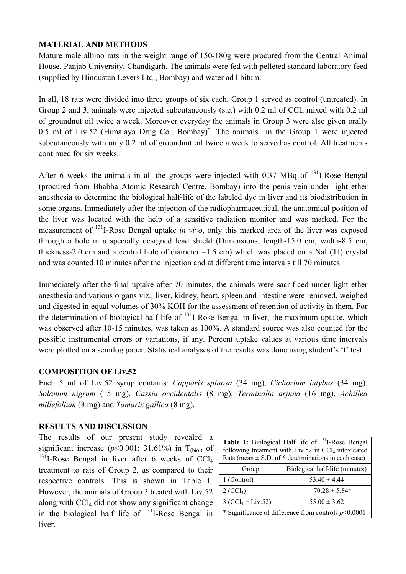# **MATERIAL AND METHODS**

Mature male albino rats in the weight range of 150-180g were procured from the Central Animal House, Panjab University, Chandigarh. The animals were fed with pelleted standard laboratory feed (supplied by Hindustan Levers Ltd., Bombay) and water ad libitum.

In all, 18 rats were divided into three groups of six each. Group 1 served as control (untreated). In Group 2 and 3, animals were injected subcutaneously (s.c.) with 0.2 ml of CCl<sub>4</sub> mixed with 0.2 ml of groundnut oil twice a week. Moreover everyday the animals in Group 3 were also given orally 0.5 ml of Liv.52 (Himalaya Drug Co., Bombay)<sup>8</sup>. The animals in the Group 1 were injected subcutaneously with only 0.2 ml of groundnut oil twice a week to served as control. All treatments continued for six weeks.

After 6 weeks the animals in all the groups were injected with  $0.37$  MBq of  $131$ -Rose Bengal (procured from Bhabha Atomic Research Centre, Bombay) into the penis vein under light ether anesthesia to determine the biological half-life of the labeled dye in liver and its biodistribution in some organs. Immediately after the injection of the radiopharmaceutical, the anatomical position of the liver was located with the help of a sensitive radiation monitor and was marked. For the measurement of 131I-Rose Bengal uptake *in vivo*, only this marked area of the liver was exposed through a hole in a specially designed lead shield (Dimensions; length-15.0 cm, width-8.5 cm, thickness-2.0 cm and a central hole of diameter  $-1.5$  cm) which was placed on a Nal (TI) crystal and was counted 10 minutes after the injection and at different time intervals till 70 minutes.

Immediately after the final uptake after 70 minutes, the animals were sacrificed under light ether anesthesia and various organs viz., liver, kidney, heart, spleen and intestine were removed, weighed and digested in equal volumes of 30% KOH for the assessment of retention of activity in them. For the determination of biological half-life of  $131$ -Rose Bengal in liver, the maximum uptake, which was observed after 10-15 minutes, was taken as 100%. A standard source was also counted for the possible instrumental errors or variations, if any. Percent uptake values at various time intervals were plotted on a semilog paper. Statistical analyses of the results was done using student's 't' test.

## **COMPOSITION OF Liv.52**

Each 5 ml of Liv.52 syrup contains: *Capparis spinosa* (34 mg), *Cichorium intybus* (34 mg), *Solanum nigrum* (15 mg), *Cassia occidentalis* (8 mg), *Terminalia arjuna* (16 mg), *Achillea millefolium* (8 mg) and *Tamarix gallica* (8 mg).

## **RESULTS AND DISCUSSION**

The results of our present study revealed a significant increase  $(p<0.001; 31.61%)$  in T<sub>(biol)</sub> of  $^{131}$ I-Rose Bengal in liver after 6 weeks of CCl<sub>4</sub> treatment to rats of Group 2, as compared to their respective controls. This is shown in Table 1. However, the animals of Group 3 treated with Liv.52 along with CCl4 did not show any significant change in the biological half life of  $131$ -Rose Bengal in liver.

| <b>Table 1:</b> Biological Half life of $^{131}$ I-Rose Bengal  |
|-----------------------------------------------------------------|
| following treatment with Liv.52 in CCl <sub>4</sub> intoxicated |
| Rats (mean $\pm$ S.D. of 6 determinations in each case)         |

| Group                   | Biological half-life (minutes)                        |
|-------------------------|-------------------------------------------------------|
| 1 (Control)             | $53.40 \pm 4.44$                                      |
| $2$ (CCl <sub>4</sub> ) | $70.28 \pm 5.84*$                                     |
| $3 (CCl_4 + Liv.52)$    | $55.00 \pm 3.62$                                      |
|                         | * Significance of difference from controls $p<0.0001$ |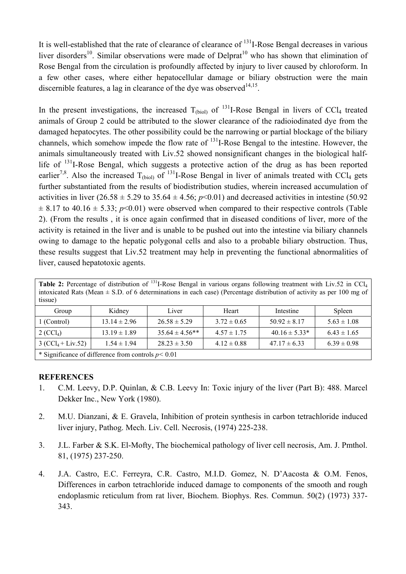It is well-established that the rate of clearance of clearance of 131I-Rose Bengal decreases in various liver disorders<sup>10</sup>. Similar observations were made of Delprat<sup>10</sup> who has shown that elimination of Rose Bengal from the circulation is profoundly affected by injury to liver caused by chloroform. In a few other cases, where either hepatocellular damage or biliary obstruction were the main discernible features, a lag in clearance of the dye was observed  $14,15$ .

In the present investigations, the increased  $T_{\text{(biol)}}$  of  $^{131}$ I-Rose Bengal in livers of CCl<sub>4</sub> treated animals of Group 2 could be attributed to the slower clearance of the radioiodinated dye from the damaged hepatocytes. The other possibility could be the narrowing or partial blockage of the biliary channels, which somehow impede the flow rate of 131I-Rose Bengal to the intestine. However, the animals simultaneously treated with Liv.52 showed nonsignificant changes in the biological halflife of  $131$ -Rose Bengal, which suggests a protective action of the drug as has been reported earlier<sup>7,8</sup>. Also the increased  $T_{\text{(biol)}}$  of <sup>131</sup>I-Rose Bengal in liver of animals treated with CCl<sub>4</sub> gets further substantiated from the results of biodistribution studies, wherein increased accumulation of activities in liver  $(26.58 \pm 5.29 \text{ to } 35.64 \pm 4.56; p<0.01)$  and decreased activities in intestine (50.92)  $\pm$  8.17 to 40.16  $\pm$  5.33; *p*<0.01) were observed when compared to their respective controls (Table 2). (From the results , it is once again confirmed that in diseased conditions of liver, more of the activity is retained in the liver and is unable to be pushed out into the intestine via biliary channels owing to damage to the hepatic polygonal cells and also to a probable biliary obstruction. Thus, these results suggest that Liv.52 treatment may help in preventing the functional abnormalities of liver, caused hepatotoxic agents.

| Table 2: Percentage of distribution of <sup>131</sup> I-Rose Bengal in various organs following treatment with Liv.52 in CCl <sub>4</sub><br>intoxicated Rats (Mean $\pm$ S.D. of 6 determinations in each case) (Percentage distribution of activity as per 100 mg of<br>tissue) |                  |                    |                 |                   |                 |  |
|-----------------------------------------------------------------------------------------------------------------------------------------------------------------------------------------------------------------------------------------------------------------------------------|------------------|--------------------|-----------------|-------------------|-----------------|--|
| Group                                                                                                                                                                                                                                                                             | Kidney           | Liver              | Heart           | Intestine         | Spleen          |  |
| 1 (Control)                                                                                                                                                                                                                                                                       | $13.14 \pm 2.96$ | $26.58 \pm 5.29$   | $3.72 \pm 0.65$ | $50.92 \pm 8.17$  | $5.63 \pm 1.08$ |  |
| $2 (CCl_4)$                                                                                                                                                                                                                                                                       | $13.19 \pm 1.89$ | $35.64 \pm 4.56**$ | $4.57 \pm 1.75$ | $40.16 \pm 5.33*$ | $6.43 \pm 1.65$ |  |
| $3 (CCl_4 + Liv.52)$                                                                                                                                                                                                                                                              | $1.54 \pm 1.94$  | $28.23 \pm 3.50$   | $4.12 \pm 0.88$ | $47.17 \pm 6.33$  | $6.39 \pm 0.98$ |  |
| * Significance of difference from controls $p < 0.01$                                                                                                                                                                                                                             |                  |                    |                 |                   |                 |  |

#### **REFERENCES**

- 1. C.M. Leevy, D.P. Quinlan, & C.B. Leevy In: Toxic injury of the liver (Part B): 488. Marcel Dekker Inc., New York (1980).
- 2. M.U. Dianzani, & E. Gravela, Inhibition of protein synthesis in carbon tetrachloride induced liver injury, Pathog. Mech. Liv. Cell. Necrosis, (1974) 225-238.
- 3. J.L. Farber & S.K. El-Mofty, The biochemical pathology of liver cell necrosis, Am. J. Pmthol. 81, (1975) 237-250.
- 4. J.A. Castro, E.C. Ferreyra, C.R. Castro, M.I.D. Gomez, N. D'Aacosta & O.M. Fenos, Differences in carbon tetrachloride induced damage to components of the smooth and rough endoplasmic reticulum from rat liver, Biochem. Biophys. Res. Commun. 50(2) (1973) 337- 343.